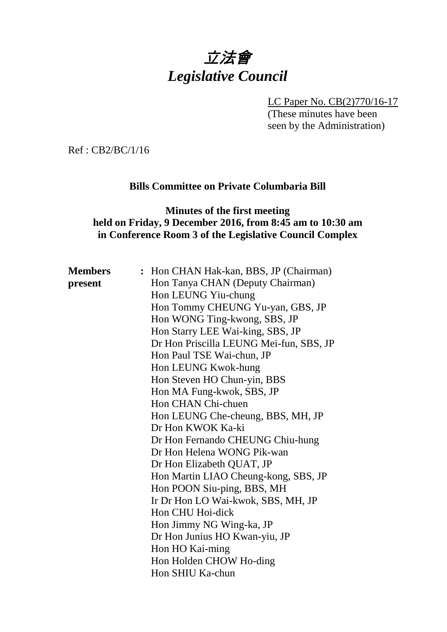# 立法會 *Legislative Council*

LC Paper No. CB(2)770/16-17

(These minutes have been seen by the Administration)

Ref : CB2/BC/1/16

# **Bills Committee on Private Columbaria Bill**

# **Minutes of the first meeting held on Friday, 9 December 2016, from 8:45 am to 10:30 am in Conference Room 3 of the Legislative Council Complex**

| <b>Members</b> | : Hon CHAN Hak-kan, BBS, JP (Chairman)  |
|----------------|-----------------------------------------|
| present        | Hon Tanya CHAN (Deputy Chairman)        |
|                | Hon LEUNG Yiu-chung                     |
|                | Hon Tommy CHEUNG Yu-yan, GBS, JP        |
|                | Hon WONG Ting-kwong, SBS, JP            |
|                | Hon Starry LEE Wai-king, SBS, JP        |
|                | Dr Hon Priscilla LEUNG Mei-fun, SBS, JP |
|                | Hon Paul TSE Wai-chun, JP               |
|                | Hon LEUNG Kwok-hung                     |
|                | Hon Steven HO Chun-yin, BBS             |
|                | Hon MA Fung-kwok, SBS, JP               |
|                | Hon CHAN Chi-chuen                      |
|                | Hon LEUNG Che-cheung, BBS, MH, JP       |
|                | Dr Hon KWOK Ka-ki                       |
|                | Dr Hon Fernando CHEUNG Chiu-hung        |
|                | Dr Hon Helena WONG Pik-wan              |
|                | Dr Hon Elizabeth QUAT, JP               |
|                | Hon Martin LIAO Cheung-kong, SBS, JP    |
|                | Hon POON Siu-ping, BBS, MH              |
|                | Ir Dr Hon LO Wai-kwok, SBS, MH, JP      |
|                | Hon CHU Hoi-dick                        |
|                | Hon Jimmy NG Wing-ka, JP                |
|                | Dr Hon Junius HO Kwan-yiu, JP           |
|                | Hon HO Kai-ming                         |
|                | Hon Holden CHOW Ho-ding                 |
|                | Hon SHIU Ka-chun                        |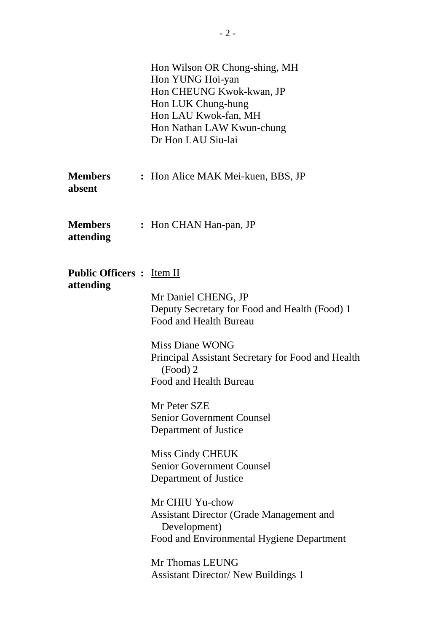|                                                      | Hon Wilson OR Chong-shing, MH<br>Hon YUNG Hoi-yan<br>Hon CHEUNG Kwok-kwan, JP<br>Hon LUK Chung-hung<br>Hon LAU Kwok-fan, MH<br>Hon Nathan LAW Kwun-chung<br>Dr Hon LAU Siu-lai                                                                                                                                                                                                                                                                                                                                                                                                          |
|------------------------------------------------------|-----------------------------------------------------------------------------------------------------------------------------------------------------------------------------------------------------------------------------------------------------------------------------------------------------------------------------------------------------------------------------------------------------------------------------------------------------------------------------------------------------------------------------------------------------------------------------------------|
| <b>Members</b><br>absent                             | : Hon Alice MAK Mei-kuen, BBS, JP                                                                                                                                                                                                                                                                                                                                                                                                                                                                                                                                                       |
| <b>Members</b><br>attending                          | : Hon CHAN Han-pan, JP                                                                                                                                                                                                                                                                                                                                                                                                                                                                                                                                                                  |
| <b>Public Officers :</b> <u>Item II</u><br>attending | Mr Daniel CHENG, JP<br>Deputy Secretary for Food and Health (Food) 1<br>Food and Health Bureau<br><b>Miss Diane WONG</b><br>Principal Assistant Secretary for Food and Health<br>$(Food)$ 2<br>Food and Health Bureau<br>Mr Peter SZE<br><b>Senior Government Counsel</b><br>Department of Justice<br>Miss Cindy CHEUK<br><b>Senior Government Counsel</b><br>Department of Justice<br>Mr CHIU Yu-chow<br><b>Assistant Director (Grade Management and</b><br>Development)<br>Food and Environmental Hygiene Department<br>Mr Thomas LEUNG<br><b>Assistant Director/ New Buildings 1</b> |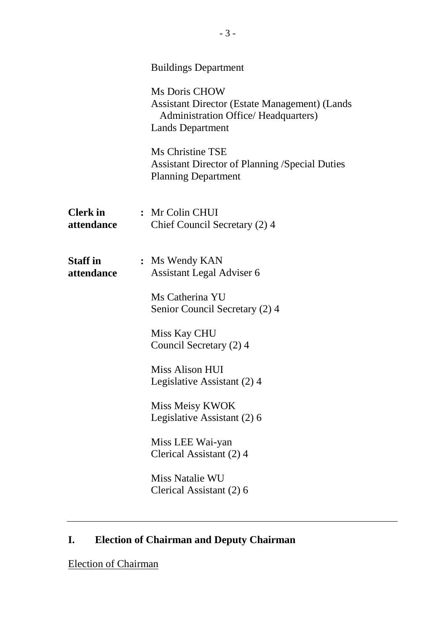|                               | <b>Buildings Department</b>                                                                                                                     |  |
|-------------------------------|-------------------------------------------------------------------------------------------------------------------------------------------------|--|
|                               | Ms Doris CHOW<br><b>Assistant Director (Estate Management) (Lands</b><br><b>Administration Office/ Headquarters)</b><br><b>Lands Department</b> |  |
|                               | Ms Christine TSE<br><b>Assistant Director of Planning /Special Duties</b><br><b>Planning Department</b>                                         |  |
| <b>Clerk</b> in<br>attendance | : Mr Colin CHUI<br>Chief Council Secretary (2) 4                                                                                                |  |
| <b>Staff</b> in<br>attendance | : Ms Wendy KAN<br>Assistant Legal Adviser 6                                                                                                     |  |
|                               | Ms Catherina YU<br>Senior Council Secretary (2) 4                                                                                               |  |
|                               | Miss Kay CHU<br>Council Secretary (2) 4                                                                                                         |  |
|                               | Miss Alison HUI<br>Legislative Assistant (2) 4                                                                                                  |  |
|                               | Miss Meisy KWOK<br>Legislative Assistant (2) 6                                                                                                  |  |
|                               | Miss LEE Wai-yan<br>Clerical Assistant (2) 4                                                                                                    |  |
|                               | Miss Natalie WU<br>Clerical Assistant (2) 6                                                                                                     |  |

# **I. Election of Chairman and Deputy Chairman**

Election of Chairman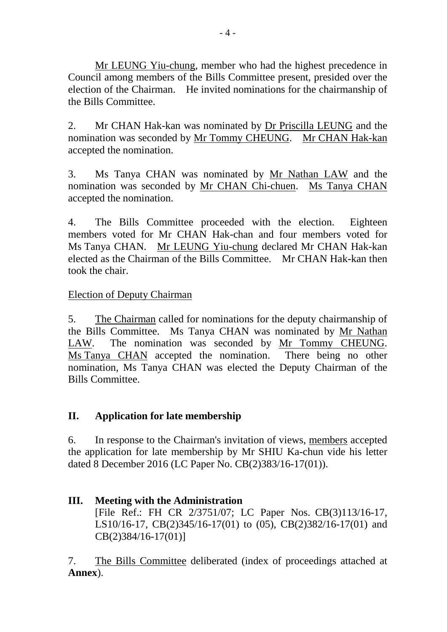Mr LEUNG Yiu-chung, member who had the highest precedence in Council among members of the Bills Committee present, presided over the election of the Chairman. He invited nominations for the chairmanship of the Bills Committee.

2. Mr CHAN Hak-kan was nominated by Dr Priscilla LEUNG and the nomination was seconded by Mr Tommy CHEUNG. Mr CHAN Hak-kan accepted the nomination.

3. Ms Tanya CHAN was nominated by Mr Nathan LAW and the nomination was seconded by Mr CHAN Chi-chuen. Ms Tanya CHAN accepted the nomination.

4. The Bills Committee proceeded with the election. Eighteen members voted for Mr CHAN Hak-chan and four members voted for Ms Tanya CHAN. Mr LEUNG Yiu-chung declared Mr CHAN Hak-kan elected as the Chairman of the Bills Committee. Mr CHAN Hak-kan then took the chair.

# Election of Deputy Chairman

5. The Chairman called for nominations for the deputy chairmanship of the Bills Committee. Ms Tanya CHAN was nominated by Mr Nathan LAW. The nomination was seconded by Mr Tommy CHEUNG. Ms Tanya CHAN accepted the nomination. There being no other nomination, Ms Tanya CHAN was elected the Deputy Chairman of the Bills Committee.

#### **II. Application for late membership**

6. In response to the Chairman's invitation of views, members accepted the application for late membership by Mr SHIU Ka-chun vide his letter dated 8 December 2016 (LC Paper No. CB(2)383/16-17(01)).

# **III. Meeting with the Administration**

[File Ref.: FH CR 2/3751/07; LC Paper Nos. CB(3)113/16-17, LS10/16-17, CB(2)345/16-17(01) to (05), CB(2)382/16-17(01) and CB(2)384/16-17(01)]

7. The Bills Committee deliberated (index of proceedings attached at **Annex**).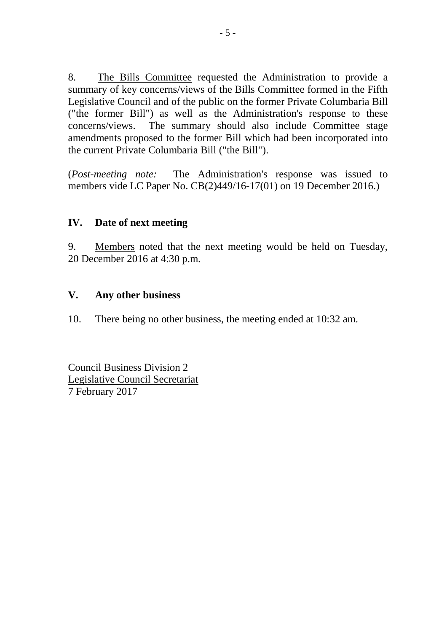8. The Bills Committee requested the Administration to provide a summary of key concerns/views of the Bills Committee formed in the Fifth Legislative Council and of the public on the former Private Columbaria Bill ("the former Bill") as well as the Administration's response to these concerns/views. The summary should also include Committee stage amendments proposed to the former Bill which had been incorporated into the current Private Columbaria Bill ("the Bill").

(*Post-meeting note:* The Administration's response was issued to members vide LC Paper No. CB(2)449/16-17(01) on 19 December 2016.)

# **IV. Date of next meeting**

9. Members noted that the next meeting would be held on Tuesday, 20 December 2016 at 4:30 p.m.

#### **V. Any other business**

10. There being no other business, the meeting ended at 10:32 am.

Council Business Division 2 Legislative Council Secretariat 7 February 2017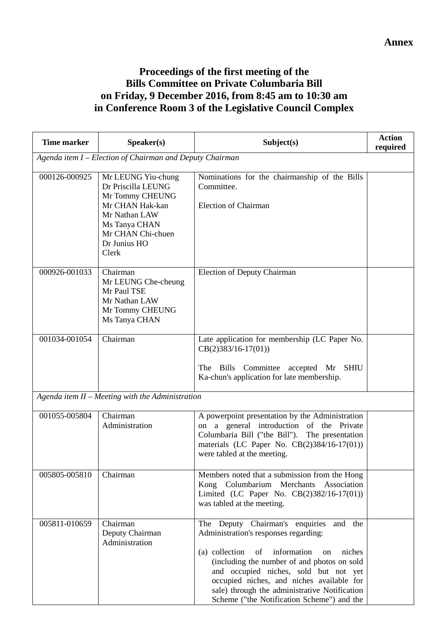# **Proceedings of the first meeting of the Bills Committee on Private Columbaria Bill on Friday, 9 December 2016, from 8:45 am to 10:30 am in Conference Room 3 of the Legislative Council Complex**

| <b>Time marker</b>                                       | Speaker(s)                                                                                                                                                     | Subject(s)                                                                                                                                                                                                                                                                                                                             | <b>Action</b><br>required |  |  |
|----------------------------------------------------------|----------------------------------------------------------------------------------------------------------------------------------------------------------------|----------------------------------------------------------------------------------------------------------------------------------------------------------------------------------------------------------------------------------------------------------------------------------------------------------------------------------------|---------------------------|--|--|
| Agenda item I - Election of Chairman and Deputy Chairman |                                                                                                                                                                |                                                                                                                                                                                                                                                                                                                                        |                           |  |  |
| 000126-000925                                            | Mr LEUNG Yiu-chung<br>Dr Priscilla LEUNG<br>Mr Tommy CHEUNG<br>Mr CHAN Hak-kan<br>Mr Nathan LAW<br>Ms Tanya CHAN<br>Mr CHAN Chi-chuen<br>Dr Junius HO<br>Clerk | Nominations for the chairmanship of the Bills<br>Committee.<br><b>Election of Chairman</b>                                                                                                                                                                                                                                             |                           |  |  |
| 000926-001033                                            | Chairman<br>Mr LEUNG Che-cheung<br>Mr Paul TSE<br>Mr Nathan LAW<br>Mr Tommy CHEUNG<br>Ms Tanya CHAN                                                            | <b>Election of Deputy Chairman</b>                                                                                                                                                                                                                                                                                                     |                           |  |  |
| 001034-001054                                            | Chairman                                                                                                                                                       | Late application for membership (LC Paper No.<br>$CB(2)383/16-17(01))$<br>The Bills Committee accepted Mr SHIU<br>Ka-chun's application for late membership.                                                                                                                                                                           |                           |  |  |
|                                                          | Agenda item $II$ – Meeting with the Administration                                                                                                             |                                                                                                                                                                                                                                                                                                                                        |                           |  |  |
| 001055-005804                                            | Chairman<br>Administration                                                                                                                                     | A powerpoint presentation by the Administration<br>on a general introduction of the Private<br>Columbaria Bill ("the Bill"). The presentation<br>materials (LC Paper No. CB(2)384/16-17(01))<br>were tabled at the meeting.                                                                                                            |                           |  |  |
| 005805-005810                                            | Chairman                                                                                                                                                       | Members noted that a submission from the Hong<br>Kong Columbarium Merchants Association<br>Limited (LC Paper No. CB(2)382/16-17(01))<br>was tabled at the meeting.                                                                                                                                                                     |                           |  |  |
| 005811-010659                                            | Chairman<br>Deputy Chairman<br>Administration                                                                                                                  | Deputy Chairman's enquiries<br>and<br>the<br>The<br>Administration's responses regarding:<br>information<br>(a) collection<br>of<br>niches<br>on<br>(including the number of and photos on sold<br>and occupied niches, sold but not yet<br>occupied niches, and niches available for<br>sale) through the administrative Notification |                           |  |  |

Scheme ("the Notification Scheme") and the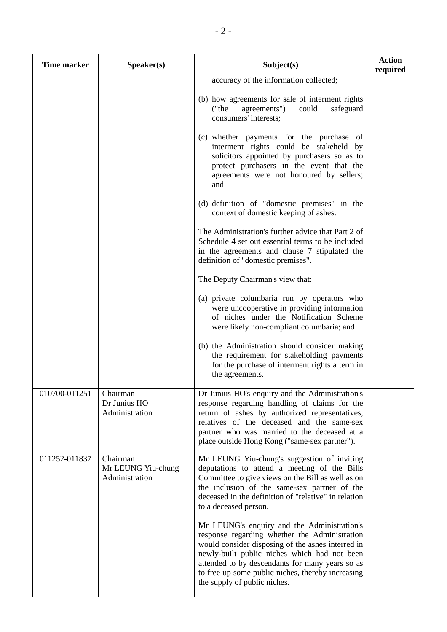| <b>Time marker</b> | Speaker(s)                                       | Subject(s)                                                                                                                                                                                                                                                                                                                                | <b>Action</b><br>required |
|--------------------|--------------------------------------------------|-------------------------------------------------------------------------------------------------------------------------------------------------------------------------------------------------------------------------------------------------------------------------------------------------------------------------------------------|---------------------------|
|                    |                                                  | accuracy of the information collected;                                                                                                                                                                                                                                                                                                    |                           |
|                    |                                                  | (b) how agreements for sale of interment rights<br>("the<br>agreements")<br>could<br>safeguard<br>consumers' interests;                                                                                                                                                                                                                   |                           |
|                    |                                                  | (c) whether payments for the purchase of<br>interment rights could be stakeheld by<br>solicitors appointed by purchasers so as to<br>protect purchasers in the event that the<br>agreements were not honoured by sellers;<br>and                                                                                                          |                           |
|                    |                                                  | (d) definition of "domestic premises" in the<br>context of domestic keeping of ashes.                                                                                                                                                                                                                                                     |                           |
|                    |                                                  | The Administration's further advice that Part 2 of<br>Schedule 4 set out essential terms to be included<br>in the agreements and clause 7 stipulated the<br>definition of "domestic premises".                                                                                                                                            |                           |
|                    |                                                  | The Deputy Chairman's view that:                                                                                                                                                                                                                                                                                                          |                           |
|                    |                                                  | (a) private columbaria run by operators who<br>were uncooperative in providing information<br>of niches under the Notification Scheme<br>were likely non-compliant columbaria; and                                                                                                                                                        |                           |
|                    |                                                  | (b) the Administration should consider making<br>the requirement for stakeholding payments<br>for the purchase of interment rights a term in<br>the agreements.                                                                                                                                                                           |                           |
| 010700-011251      | Chairman<br>Dr Junius HO<br>Administration       | Dr Junius HO's enquiry and the Administration's<br>response regarding handling of claims for the<br>return of ashes by authorized representatives,<br>relatives of the deceased and the same-sex<br>partner who was married to the deceased at a<br>place outside Hong Kong ("same-sex partner").                                         |                           |
| 011252-011837      | Chairman<br>Mr LEUNG Yiu-chung<br>Administration | Mr LEUNG Yiu-chung's suggestion of inviting<br>deputations to attend a meeting of the Bills<br>Committee to give views on the Bill as well as on<br>the inclusion of the same-sex partner of the<br>deceased in the definition of "relative" in relation<br>to a deceased person.                                                         |                           |
|                    |                                                  | Mr LEUNG's enquiry and the Administration's<br>response regarding whether the Administration<br>would consider disposing of the ashes interred in<br>newly-built public niches which had not been<br>attended to by descendants for many years so as<br>to free up some public niches, thereby increasing<br>the supply of public niches. |                           |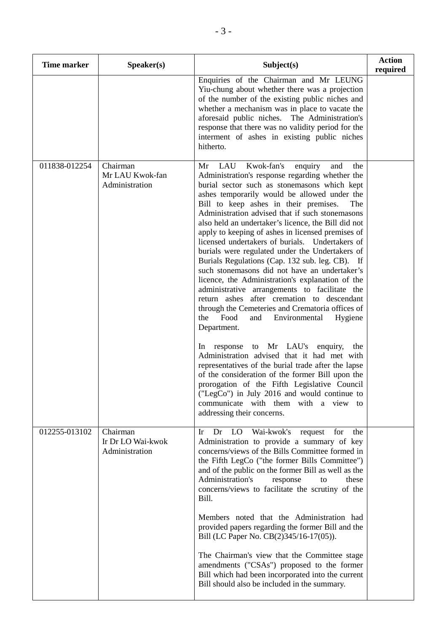| <b>Time marker</b> | Speaker(s)                                      | Subject(s)                                                                                                                                                                                                                                                                                                                                                                                                                                                                                                                                                                                                                                                                                                                                                                                                                                                                                                                                                                                                                                                                                                                                                                                                                                                                             | <b>Action</b><br>required |
|--------------------|-------------------------------------------------|----------------------------------------------------------------------------------------------------------------------------------------------------------------------------------------------------------------------------------------------------------------------------------------------------------------------------------------------------------------------------------------------------------------------------------------------------------------------------------------------------------------------------------------------------------------------------------------------------------------------------------------------------------------------------------------------------------------------------------------------------------------------------------------------------------------------------------------------------------------------------------------------------------------------------------------------------------------------------------------------------------------------------------------------------------------------------------------------------------------------------------------------------------------------------------------------------------------------------------------------------------------------------------------|---------------------------|
|                    |                                                 | Enquiries of the Chairman and Mr LEUNG<br>Yiu-chung about whether there was a projection<br>of the number of the existing public niches and<br>whether a mechanism was in place to vacate the<br>aforesaid public niches. The Administration's<br>response that there was no validity period for the<br>interment of ashes in existing public niches<br>hitherto.                                                                                                                                                                                                                                                                                                                                                                                                                                                                                                                                                                                                                                                                                                                                                                                                                                                                                                                      |                           |
| 011838-012254      | Chairman<br>Mr LAU Kwok-fan<br>Administration   | Kwok-fan's<br>LAU<br>enquiry<br>and<br>Mr<br>the<br>Administration's response regarding whether the<br>burial sector such as stonemasons which kept<br>ashes temporarily would be allowed under the<br>Bill to keep ashes in their premises.<br>The<br>Administration advised that if such stonemasons<br>also held an undertaker's licence, the Bill did not<br>apply to keeping of ashes in licensed premises of<br>licensed undertakers of burials. Undertakers of<br>burials were regulated under the Undertakers of<br>Burials Regulations (Cap. 132 sub. leg. CB).<br>such stonemasons did not have an undertaker's<br>licence, the Administration's explanation of the<br>administrative arrangements to facilitate the<br>return ashes after cremation to descendant<br>through the Cemeteries and Crematoria offices of<br>Food<br>the<br>Environmental<br>and<br>Hygiene<br>Department.<br>to Mr LAU's<br>enquiry,<br>response<br>the<br>In.<br>Administration advised that it had met with<br>representatives of the burial trade after the lapse<br>of the consideration of the former Bill upon the<br>prorogation of the Fifth Legislative Council<br>("LegCo") in July 2016 and would continue to<br>communicate with them with a view to<br>addressing their concerns. |                           |
| 012255-013102      | Chairman<br>Ir Dr LO Wai-kwok<br>Administration | Wai-kwok's<br>Dr<br>LO<br>request<br>for<br>the<br>Ir<br>Administration to provide a summary of key<br>concerns/views of the Bills Committee formed in<br>the Fifth LegCo ("the former Bills Committee")<br>and of the public on the former Bill as well as the<br>Administration's<br>these<br>response<br>to<br>concerns/views to facilitate the scrutiny of the<br>Bill.<br>Members noted that the Administration had<br>provided papers regarding the former Bill and the<br>Bill (LC Paper No. CB(2)345/16-17(05)).<br>The Chairman's view that the Committee stage<br>amendments ("CSAs") proposed to the former<br>Bill which had been incorporated into the current<br>Bill should also be included in the summary.                                                                                                                                                                                                                                                                                                                                                                                                                                                                                                                                                            |                           |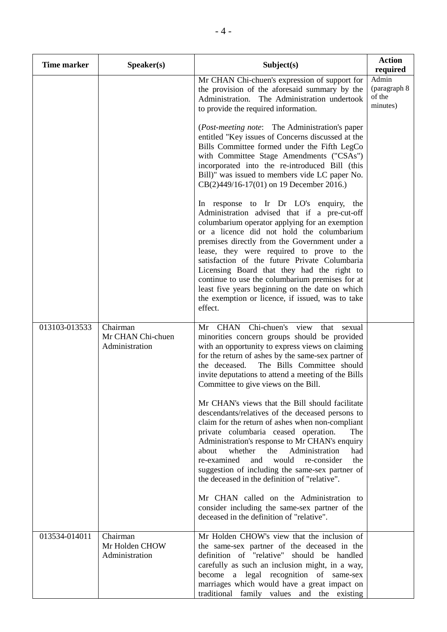| <b>Time marker</b> | Speaker(s)                                      | Subject(s)                                                                                                                                                                                                                                                                                                                                                                                                                                                                                                                                              | <b>Action</b><br>required                   |
|--------------------|-------------------------------------------------|---------------------------------------------------------------------------------------------------------------------------------------------------------------------------------------------------------------------------------------------------------------------------------------------------------------------------------------------------------------------------------------------------------------------------------------------------------------------------------------------------------------------------------------------------------|---------------------------------------------|
|                    |                                                 | Mr CHAN Chi-chuen's expression of support for<br>the provision of the aforesaid summary by the<br>Administration.<br>The Administration undertook<br>to provide the required information.<br>( <i>Post-meeting note</i> : The Administration's paper                                                                                                                                                                                                                                                                                                    | Admin<br>(paragraph 8<br>of the<br>minutes) |
|                    |                                                 | entitled "Key issues of Concerns discussed at the<br>Bills Committee formed under the Fifth LegCo<br>with Committee Stage Amendments ("CSAs")<br>incorporated into the re-introduced Bill (this<br>Bill)" was issued to members vide LC paper No.<br>CB(2)449/16-17(01) on 19 December 2016.)                                                                                                                                                                                                                                                           |                                             |
|                    |                                                 | In response to Ir Dr LO's enquiry, the<br>Administration advised that if a pre-cut-off<br>columbarium operator applying for an exemption<br>or a licence did not hold the columbarium<br>premises directly from the Government under a<br>lease, they were required to prove to the<br>satisfaction of the future Private Columbaria<br>Licensing Board that they had the right to<br>continue to use the columbarium premises for at<br>least five years beginning on the date on which<br>the exemption or licence, if issued, was to take<br>effect. |                                             |
| 013103-013533      | Chairman<br>Mr CHAN Chi-chuen<br>Administration | Chi-chuen's view<br><b>CHAN</b><br>Mr<br>that<br>sexual<br>minorities concern groups should be provided<br>with an opportunity to express views on claiming<br>for the return of ashes by the same-sex partner of<br>The Bills Committee should<br>the deceased.<br>invite deputations to attend a meeting of the Bills<br>Committee to give views on the Bill.                                                                                                                                                                                         |                                             |
|                    |                                                 | Mr CHAN's views that the Bill should facilitate<br>descendants/relatives of the deceased persons to<br>claim for the return of ashes when non-compliant<br>private columbaria ceased operation.<br>The<br>Administration's response to Mr CHAN's enquiry<br>whether<br>the<br>Administration<br>about<br>had<br>re-examined<br>and<br>would<br>re-consider<br>the<br>suggestion of including the same-sex partner of<br>the deceased in the definition of "relative".                                                                                   |                                             |
|                    |                                                 | Mr CHAN called on the Administration to<br>consider including the same-sex partner of the<br>deceased in the definition of "relative".                                                                                                                                                                                                                                                                                                                                                                                                                  |                                             |
| 013534-014011      | Chairman<br>Mr Holden CHOW<br>Administration    | Mr Holden CHOW's view that the inclusion of<br>the same-sex partner of the deceased in the<br>definition of "relative" should be handled<br>carefully as such an inclusion might, in a way,<br>become a legal recognition of same-sex<br>marriages which would have a great impact on<br>traditional family values and the existing                                                                                                                                                                                                                     |                                             |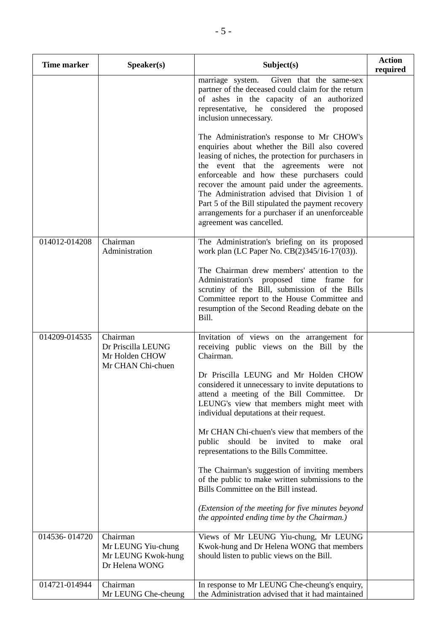| <b>Time marker</b> | Speaker(s)                                                             | Subject(s)                                                                                                                                                                                                                                                                                                                                                                                                                                                                         | <b>Action</b><br>required |
|--------------------|------------------------------------------------------------------------|------------------------------------------------------------------------------------------------------------------------------------------------------------------------------------------------------------------------------------------------------------------------------------------------------------------------------------------------------------------------------------------------------------------------------------------------------------------------------------|---------------------------|
|                    |                                                                        | Given that the same-sex<br>marriage system.<br>partner of the deceased could claim for the return<br>of ashes in the capacity of an authorized<br>representative, he considered the proposed<br>inclusion unnecessary.                                                                                                                                                                                                                                                             |                           |
|                    |                                                                        | The Administration's response to Mr CHOW's<br>enquiries about whether the Bill also covered<br>leasing of niches, the protection for purchasers in<br>the event that the agreements were not<br>enforceable and how these purchasers could<br>recover the amount paid under the agreements.<br>The Administration advised that Division 1 of<br>Part 5 of the Bill stipulated the payment recovery<br>arrangements for a purchaser if an unenforceable<br>agreement was cancelled. |                           |
| 014012-014208      | Chairman<br>Administration                                             | The Administration's briefing on its proposed<br>work plan (LC Paper No. CB(2)345/16-17(03)).                                                                                                                                                                                                                                                                                                                                                                                      |                           |
|                    |                                                                        | The Chairman drew members' attention to the<br>Administration's proposed time<br>frame<br>for<br>scrutiny of the Bill, submission of the Bills<br>Committee report to the House Committee and<br>resumption of the Second Reading debate on the<br>Bill.                                                                                                                                                                                                                           |                           |
| 014209-014535      | Chairman<br>Dr Priscilla LEUNG<br>Mr Holden CHOW<br>Mr CHAN Chi-chuen  | Invitation of views on the arrangement for<br>receiving public views on the Bill by the<br>Chairman.<br>Dr Priscilla LEUNG and Mr Holden CHOW<br>considered it unnecessary to invite deputations to<br>attend a meeting of the Bill Committee.<br>Dr<br>LEUNG's view that members might meet with<br>individual deputations at their request.<br>Mr CHAN Chi-chuen's view that members of the                                                                                      |                           |
|                    |                                                                        | should<br>public<br>be invited to make<br>oral<br>representations to the Bills Committee.                                                                                                                                                                                                                                                                                                                                                                                          |                           |
|                    |                                                                        | The Chairman's suggestion of inviting members<br>of the public to make written submissions to the<br>Bills Committee on the Bill instead.                                                                                                                                                                                                                                                                                                                                          |                           |
|                    |                                                                        | (Extension of the meeting for five minutes beyond<br>the appointed ending time by the Chairman.)                                                                                                                                                                                                                                                                                                                                                                                   |                           |
| 014536-014720      | Chairman<br>Mr LEUNG Yiu-chung<br>Mr LEUNG Kwok-hung<br>Dr Helena WONG | Views of Mr LEUNG Yiu-chung, Mr LEUNG<br>Kwok-hung and Dr Helena WONG that members<br>should listen to public views on the Bill.                                                                                                                                                                                                                                                                                                                                                   |                           |
| 014721-014944      | Chairman<br>Mr LEUNG Che-cheung                                        | In response to Mr LEUNG Che-cheung's enquiry,<br>the Administration advised that it had maintained                                                                                                                                                                                                                                                                                                                                                                                 |                           |